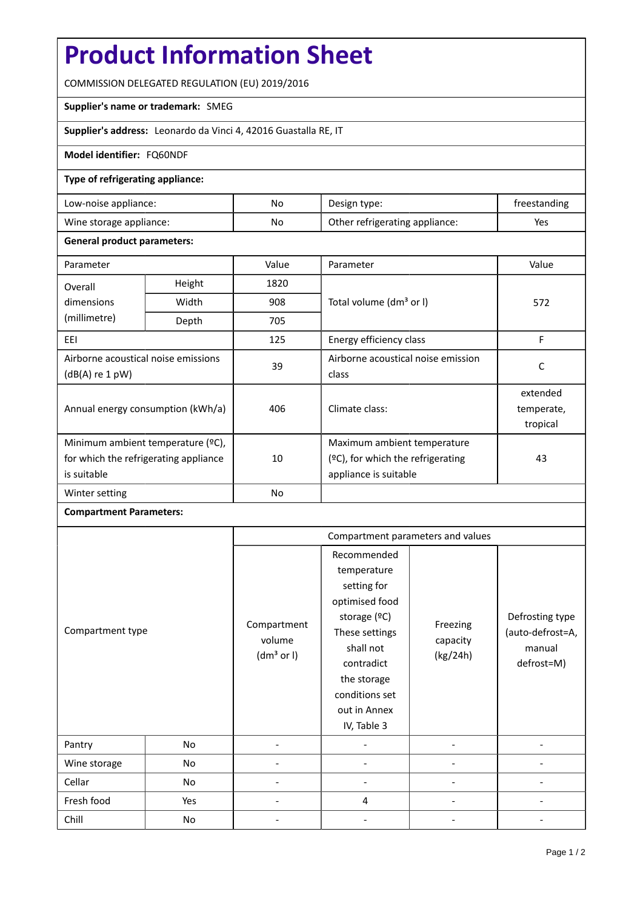# **Product Information Sheet**

COMMISSION DELEGATED REGULATION (EU) 2019/2016

### **Supplier's name or trademark:** SMEG

**Supplier's address:** Leonardo da Vinci 4, 42016 Guastalla RE, IT

### **Model identifier:** FQ60NDF

### **Type of refrigerating appliance:**

| Low-noise appliance:    | No | Design type:                   | freestanding |
|-------------------------|----|--------------------------------|--------------|
| Wine storage appliance: | No | Other refrigerating appliance: | Yes          |

#### **General product parameters:**

| Parameter                                              |                                                     | Value          | Parameter                            | Value      |
|--------------------------------------------------------|-----------------------------------------------------|----------------|--------------------------------------|------------|
| Overall                                                | Height                                              | 1820           |                                      |            |
| dimensions                                             | Width<br>908<br>Total volume (dm <sup>3</sup> or I) |                |                                      | 572        |
| (millimetre)                                           | Depth                                               | 705            |                                      |            |
| EEI                                                    |                                                     | 125            | Energy efficiency class              | F          |
| Airborne acoustical noise emissions<br>(dB(A) re 1 pW) |                                                     | 39             | Airborne acoustical noise emission   | C          |
|                                                        |                                                     |                | class                                |            |
| Annual energy consumption (kWh/a)                      |                                                     | 406            |                                      | extended   |
|                                                        |                                                     |                | Climate class:                       | temperate, |
|                                                        |                                                     |                |                                      | tropical   |
| Minimum ambient temperature (°C),                      |                                                     |                | Maximum ambient temperature          |            |
| for which the refrigerating appliance                  |                                                     | 10             | $(°C)$ , for which the refrigerating | 43         |
| is suitable                                            |                                                     |                | appliance is suitable                |            |
| Winter setting                                         |                                                     | N <sub>o</sub> |                                      |            |

## **Compartment Parameters:**

|                  |     | Compartment parameters and values               |                                                                                                                                                                                          |                                  |                                                             |
|------------------|-----|-------------------------------------------------|------------------------------------------------------------------------------------------------------------------------------------------------------------------------------------------|----------------------------------|-------------------------------------------------------------|
| Compartment type |     | Compartment<br>volume<br>(dm <sup>3</sup> or I) | Recommended<br>temperature<br>setting for<br>optimised food<br>storage (ºC)<br>These settings<br>shall not<br>contradict<br>the storage<br>conditions set<br>out in Annex<br>IV, Table 3 | Freezing<br>capacity<br>(kg/24h) | Defrosting type<br>(auto-defrost=A,<br>manual<br>defrost=M) |
| Pantry           | No  |                                                 |                                                                                                                                                                                          |                                  |                                                             |
| Wine storage     | No  |                                                 |                                                                                                                                                                                          |                                  |                                                             |
| Cellar           | No  |                                                 |                                                                                                                                                                                          |                                  |                                                             |
| Fresh food       | Yes |                                                 | 4                                                                                                                                                                                        |                                  |                                                             |
| Chill            | No  |                                                 |                                                                                                                                                                                          |                                  |                                                             |